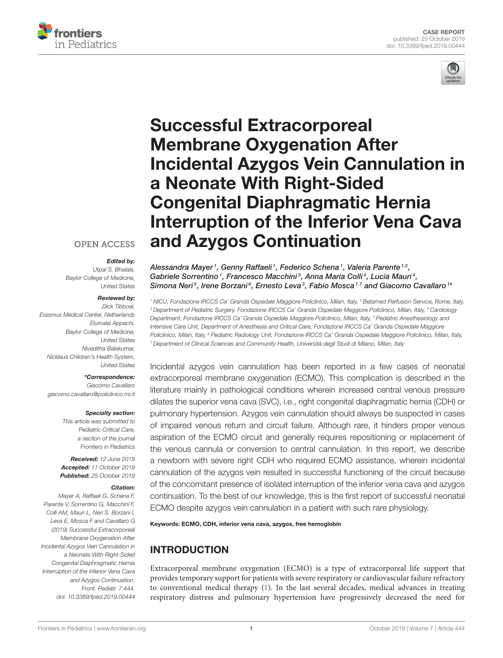



# Successful Extracorporeal Membrane Oxygenation After [Incidental Azygos Vein Cannulation in](https://www.frontiersin.org/articles/10.3389/fped.2019.00444/full) a Neonate With Right-Sided Congenital Diaphragmatic Hernia Interruption of the Inferior Vena Cava and Azygos Continuation

## **OPEN ACCESS**

#### Edited by:

Utpal S. Bhalala, Baylor College of Medicine, United States

#### Reviewed by:

Dick Tibboel, Erasmus Medical Center, Netherlands Elumalai Appachi, Baylor College of Medicine, United States Niveditha Balakumar, Nicklaus Children's Health System, United States

#### \*Correspondence:

Giacomo Cavallaro [giacomo.cavallaro@policlinico.mi.it](mailto:giacomo.cavallaro@policlinico.mi.it)

#### Specialty section:

This article was submitted to Pediatric Critical Care, a section of the journal Frontiers in Pediatrics

Received: 12 June 2019 Accepted: 11 October 2019 Published: 25 October 2019

#### Citation:

Mayer A, Raffaeli G, Schena F, Parente V, Sorrentino G, Macchini F, Colli AM, Mauri L, Neri S, Borzani I, Leva E, Mosca F and Cavallaro G (2019) Successful Extracorporeal Membrane Oxygenation After Incidental Azygos Vein Cannulation in a Neonate With Right-Sided Congenital Diaphragmatic Hernia Interruption of the Inferior Vena Cava and Azygos Continuation. Front. Pediatr. 7:444. doi: [10.3389/fped.2019.00444](https://doi.org/10.3389/fped.2019.00444)

Alessandra Mayer1, [Genny Raffaeli](http://loop.frontiersin.org/people/496434/overview)1, [Federico Schena](http://loop.frontiersin.org/people/760399/overview)1, Valeria Parente1,2, Gabriele Sorrentino<sup>1</sup>, [Francesco Macchini](http://loop.frontiersin.org/people/533352/overview)<sup>3</sup>, Anna Maria Colli<sup>4</sup>, Lucia Mauri<sup>4</sup>, [Simona Neri](http://loop.frontiersin.org/people/787321/overview)<sup>5</sup>, [Irene Borzani](http://loop.frontiersin.org/people/755153/overview)<sup>6</sup>, [Ernesto Leva](http://loop.frontiersin.org/people/120898/overview)<sup>3</sup>, [Fabio Mosca](http://loop.frontiersin.org/people/563990/overview)<sup>1,7</sup> and [Giacomo Cavallaro](http://loop.frontiersin.org/people/396844/overview)<sup>1</sup>\*

<sup>1</sup> NICU, Fondazione IRCCS Ca' Granda Ospedale Maggiore Policlinico, Milan, Italy, <sup>2</sup> Betamed Perfusion Service, Rome, Italy, <sup>3</sup> Department of Pediatric Surgery, Fondazione IRCCS Ca' Granda Ospedale Maggiore Policlinico, Milan, Italy, <sup>4</sup> Cardiology Department, Fondazione IRCCS Ca' Granda Ospedale Maggiore Policlinico, Milan, Italy, <sup>5</sup> Pediatric Anesthesiology and Intensive Care Unit, Department of Anesthesia and Critical Care, Fondazione IRCCS Ca' Granda Ospedale Maggiore Policlinico, Milan, Italy, <sup>6</sup> Pediatric Radiology Unit, Fondazione IRCCS Ca' Granda Ospedale Maggiore Policlinico, Milan, Italy, <sup>7</sup> Department of Clinical Sciences and Community Health, Università degli Studi di Milano, Milan, Italy

Incidental azygos vein cannulation has been reported in a few cases of neonatal extracorporeal membrane oxygenation (ECMO). This complication is described in the literature mainly in pathological conditions wherein increased central venous pressure dilates the superior vena cava (SVC), i.e., right congenital diaphragmatic hernia (CDH) or pulmonary hypertension. Azygos vein cannulation should always be suspected in cases of impaired venous return and circuit failure. Although rare, it hinders proper venous aspiration of the ECMO circuit and generally requires repositioning or replacement of the venous cannula or conversion to central cannulation. In this report, we describe a newborn with severe right CDH who required ECMO assistance, wherein incidental cannulation of the azygos vein resulted in successful functioning of the circuit because of the concomitant presence of isolated interruption of the inferior vena cava and azygos continuation. To the best of our knowledge, this is the first report of successful neonatal ECMO despite azygos vein cannulation in a patient with such rare physiology.

Keywords: ECMO, CDH, inferior vena cava, azygos, free hemoglobin

# INTRODUCTION

Extracorporeal membrane oxygenation (ECMO) is a type of extracorporeal life support that provides temporary support for patients with severe respiratory or cardiovascular failure refractory to conventional medical therapy [\(1\)](#page-4-0). In the last several decades, medical advances in treating respiratory distress and pulmonary hypertension have progressively decreased the need for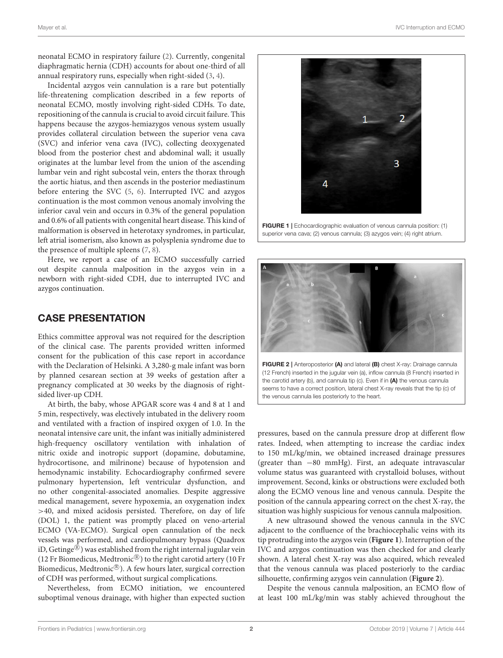neonatal ECMO in respiratory failure [\(2\)](#page-4-1). Currently, congenital diaphragmatic hernia (CDH) accounts for about one-third of all annual respiratory runs, especially when right-sided [\(3,](#page-4-2) [4\)](#page-4-3).

Incidental azygos vein cannulation is a rare but potentially life-threatening complication described in a few reports of neonatal ECMO, mostly involving right-sided CDHs. To date, repositioning of the cannula is crucial to avoid circuit failure. This happens because the azygos-hemiazygos venous system usually provides collateral circulation between the superior vena cava (SVC) and inferior vena cava (IVC), collecting deoxygenated blood from the posterior chest and abdominal wall; it usually originates at the lumbar level from the union of the ascending lumbar vein and right subcostal vein, enters the thorax through the aortic hiatus, and then ascends in the posterior mediastinum before entering the SVC [\(5,](#page-4-4) [6\)](#page-4-5). Interrupted IVC and azygos continuation is the most common venous anomaly involving the inferior caval vein and occurs in 0.3% of the general population and 0.6% of all patients with congenital heart disease. This kind of malformation is observed in heterotaxy syndromes, in particular, left atrial isomerism, also known as polysplenia syndrome due to the presence of multiple spleens [\(7,](#page-5-0) [8\)](#page-5-1).

Here, we report a case of an ECMO successfully carried out despite cannula malposition in the azygos vein in a newborn with right-sided CDH, due to interrupted IVC and azygos continuation.

## CASE PRESENTATION

Ethics committee approval was not required for the description of the clinical case. The parents provided written informed consent for the publication of this case report in accordance with the Declaration of Helsinki. A 3,280-g male infant was born by planned cesarean section at 39 weeks of gestation after a pregnancy complicated at 30 weeks by the diagnosis of rightsided liver-up CDH.

At birth, the baby, whose APGAR score was 4 and 8 at 1 and 5 min, respectively, was electively intubated in the delivery room and ventilated with a fraction of inspired oxygen of 1.0. In the neonatal intensive care unit, the infant was initially administered high-frequency oscillatory ventilation with inhalation of nitric oxide and inotropic support (dopamine, dobutamine, hydrocortisone, and milrinone) because of hypotension and hemodynamic instability. Echocardiography confirmed severe pulmonary hypertension, left ventricular dysfunction, and no other congenital-associated anomalies. Despite aggressive medical management, severe hypoxemia, an oxygenation index >40, and mixed acidosis persisted. Therefore, on day of life (DOL) 1, the patient was promptly placed on veno-arterial ECMO (VA-ECMO). Surgical open cannulation of the neck vessels was performed, and cardiopulmonary bypass (Quadrox iD, Getinge $^{\circledR}$ ) was established from the right internal jugular vein (12 Fr Biomedicus, Medtronic $\mathcal{R}$ ) to the right carotid artery (10 Fr Biomedicus, Medtronic®). A few hours later, surgical correction of CDH was performed, without surgical complications.

Nevertheless, from ECMO initiation, we encountered suboptimal venous drainage, with higher than expected suction



<span id="page-1-0"></span>FIGURE 1 | Echocardiographic evaluation of venous cannula position: (1) superior vena cava; (2) venous cannula; (3) azygos vein; (4) right atrium.



<span id="page-1-1"></span>pressures, based on the cannula pressure drop at different flow rates. Indeed, when attempting to increase the cardiac index to 150 mL/kg/min, we obtained increased drainage pressures (greater than −80 mmHg). First, an adequate intravascular volume status was guaranteed with crystalloid boluses, without improvement. Second, kinks or obstructions were excluded both along the ECMO venous line and venous cannula. Despite the position of the cannula appearing correct on the chest X-ray, the situation was highly suspicious for venous cannula malposition.

A new ultrasound showed the venous cannula in the SVC adjacent to the confluence of the brachiocephalic veins with its tip protruding into the azygos vein (**[Figure 1](#page-1-0)**). Interruption of the IVC and azygos continuation was then checked for and clearly shown. A lateral chest X-ray was also acquired, which revealed that the venous cannula was placed posteriorly to the cardiac silhouette, confirming azygos vein cannulation (**[Figure 2](#page-1-1)**).

Despite the venous cannula malposition, an ECMO flow of at least 100 mL/kg/min was stably achieved throughout the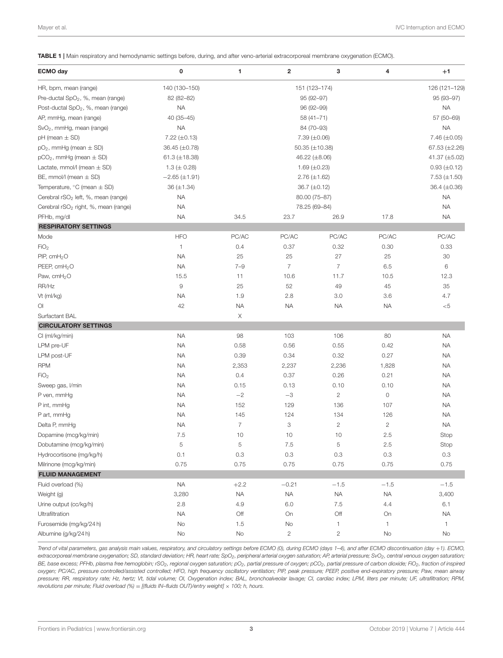<span id="page-2-0"></span>TABLE 1 | Main respiratory and hemodynamic settings before, during, and after veno-arterial extracorporeal membrane oxygenation (ECMO).

| <b>ECMO</b> day                                     | 0                  | 1                   | $\overline{\mathbf{2}}$ | 3              | 4              | $+1$                |
|-----------------------------------------------------|--------------------|---------------------|-------------------------|----------------|----------------|---------------------|
| HR, bpm, mean (range)                               | 140 (130-150)      | 151 (123-174)       |                         |                |                | 126 (121-129)       |
| Pre-ductal SpO <sub>2</sub> , %, mean (range)       | 82 (82-82)         | 95 (92-97)          |                         |                |                | 95 (93-97)          |
| Post-ductal SpO <sub>2</sub> , %, mean (range)      | <b>NA</b>          | 96 (92-99)          |                         |                |                | <b>NA</b>           |
| AP, mmHg, mean (range)                              | 40 (35-45)         | $58(41 - 71)$       |                         |                |                | 57 (50-69)          |
| SvO <sub>2</sub> , mmHg, mean (range)               | <b>NA</b>          | 84 (70-93)          |                         |                |                | <b>NA</b>           |
| $pH$ (mean $\pm$ SD)                                | 7.22 $(\pm 0.13)$  | 7.39 (±0.06)        |                         |                |                | 7.46 (±0.05)        |
| $pO2$ , mmHg (mean $\pm$ SD)                        | 36.45 (±0.78)      | 50.35 $(\pm 10.38)$ |                         |                |                | 67.53 $(\pm 2.26)$  |
| $pCO2$ , mmHg (mean $\pm$ SD)                       | 61.3 $(\pm 18.38)$ | 46.22 (±8.06)       |                         |                |                | 41.37 (±5.02)       |
| Lactate, mmol/l (mean $\pm$ SD)                     | 1.3 ( $\pm$ 0.28)  | 1.69 $(\pm 0.23)$   |                         |                |                | $0.93 \ (\pm 0.12)$ |
| BE, mmol/l (mean $\pm$ SD)                          | $-2.65 (\pm 1.91)$ | $2.76 (\pm 1.62)$   |                         |                |                | 7.53 $(\pm 1.50)$   |
| Temperature, $\degree$ C (mean $\pm$ SD)            | $36 (\pm 1.34)$    | 36.7 (±0.12)        |                         |                |                | 36.4 (±0.36)        |
| Cerebral rSO <sub>2</sub> left, %, mean (range)     | <b>NA</b>          | 80.00 (75-87)       |                         |                |                | <b>NA</b>           |
| Cerebral rSO <sub>2</sub> right, %, mean (range)    | <b>NA</b>          | 78.25 (69-84)       |                         |                |                | <b>NA</b>           |
| PFHb, mg/dl                                         | <b>NA</b>          | 34.5                | 23.7                    | 26.9           | 17.8           | <b>NA</b>           |
| <b>RESPIRATORY SETTINGS</b>                         |                    |                     |                         |                |                |                     |
| Mode                                                | <b>HFO</b>         | PC/AC               | PC/AC                   | PC/AC          | PC/AC          | PC/AC               |
| FiO <sub>2</sub>                                    | $\mathbf{1}$       | 0.4                 | 0.37                    | 0.32           | 0.30           | 0.33                |
| PIP, $cmH2O$                                        | <b>NA</b>          | 25                  | 25                      | 27             | 25             | 30                  |
| PEEP, cmH <sub>2</sub> O                            | <b>NA</b>          | $7 - 9$             | $\overline{7}$          | $\overline{7}$ | 6.5            | 6                   |
| Paw, cmH <sub>2</sub> O                             | 15.5               | 11                  | 10.6                    | 11.7           | 10.5           | 12.3                |
| RR/Hz                                               | $\hbox{9}$         | 25                  | 52                      | 49             | 45             | 35                  |
| Vt (ml/kg)                                          | <b>NA</b>          | 1.9                 | 2.8                     | 3.0            | 3.6            | 4.7                 |
| $\overline{O}$                                      | 42                 | <b>NA</b>           | <b>NA</b>               | <b>NA</b>      | <b>NA</b>      | $<$ 5               |
| Surfactant BAL                                      |                    | Χ                   |                         |                |                |                     |
| <b>CIRCULATORY SETTINGS</b>                         |                    |                     |                         |                |                |                     |
| CI (ml/kg/min)                                      | <b>NA</b>          | 98                  | 103                     | 106            | 80             | <b>NA</b>           |
| LPM pre-UF                                          | <b>NA</b>          | 0.58                | 0.56                    | 0.55           | 0.42           | <b>NA</b>           |
| LPM post-UF                                         | <b>NA</b>          | 0.39                | 0.34                    | 0.32           | 0.27           | <b>NA</b>           |
| <b>RPM</b>                                          | <b>NA</b>          | 2,353               | 2,237                   | 2,236          | 1,828          | <b>NA</b>           |
| FiO <sub>2</sub>                                    | <b>NA</b>          | 0.4                 | 0.37                    | 0.26           | 0.21           | <b>NA</b>           |
| Sweep gas, I/min                                    | <b>NA</b>          | 0.15                | 0.13                    | 0.10           | 0.10           | <b>NA</b>           |
| P ven, mmHg                                         | <b>NA</b>          | $-2$                | $-3$                    | $\overline{c}$ | 0              | <b>NA</b>           |
| P int, mmHg                                         | <b>NA</b>          | 152                 | 129                     | 136            | 107            | <b>NA</b>           |
| P art, mmHg                                         | <b>NA</b>          | 145                 | 124                     | 134            | 126            | <b>NA</b>           |
| Delta P, mmHq                                       | <b>NA</b>          | $\overline{7}$      | 3                       | $\mathbf{2}$   | $\overline{c}$ | <b>NA</b>           |
| Dopamine (mcg/kg/min)                               | 7.5                | 10                  | 10                      | 10             | 2.5            | Stop                |
|                                                     |                    |                     |                         |                |                |                     |
| Dobutamine (mcg/kg/min)<br>Hydrocortisone (mg/kg/h) | 5<br>0.1           | 5<br>0.3            | 7.5                     | 5<br>0.3       | 2.5<br>0.3     | Stop<br>$0.3\,$     |
|                                                     | 0.75               | 0.75                | $0.3\,$<br>0.75         | 0.75           | 0.75           | 0.75                |
| Milrinone (mcg/kg/min)<br><b>FLUID MANAGEMENT</b>   |                    |                     |                         |                |                |                     |
|                                                     |                    |                     |                         |                |                |                     |
| Fluid overload (%)                                  | $\sf NA$           | $+2.2$              | $-0.21$                 | $-1.5$         | $-1.5$         | $-1.5$              |
| Weight (g)                                          | 3,280              | NA                  | $\sf NA$                | <b>NA</b>      | <b>NA</b>      | 3,400               |
| Urine output (cc/kg/h)                              | 2.8                | 4.9                 | $6.0\,$                 | 7.5            | 4.4            | 6.1                 |
| Ultrafiltration                                     | $\sf NA$           | Off                 | On                      | Off            | On             | <b>NA</b>           |
| Furosemide (mg/kg/24h)                              | No                 | 1.5                 | No                      | 1              | 1              | 1                   |
| Albumine (g/kg/24h)                                 | No                 | No                  | $\overline{c}$          | $\mathbf{2}$   | <b>No</b>      | No                  |

Trend of vital parameters, gas analysis main values, respiratory, and circulatory settings before ECMO (0), during ECMO (days 1–4), and after ECMO discontinuation (day +1). ECMO, extracorporeal membrane oxygenation; SD, standard deviation; HR, heart rate; SpO<sub>2</sub>, peripheral arterial oxygen saturation; AP, arterial pressure; SvO<sub>2</sub>, central venous oxygen saturation; BE, base excess; PFHb, plasma free hemoglobin; rSO<sub>2</sub>, regional oxygen saturation; pO<sub>2</sub>, partial pressure of oxygen; pCO<sub>2</sub>, partial pressure of carbon dioxide; FiO<sub>2</sub>, fraction of inspired oxygen; PC/AC, pressure controlled/assisted controlled; HFO, high frequency oscillatory ventilation; PIP, peak pressure; PEEP, positive end-expiratory pressure; Paw, mean airway pressure; RR, respiratory rate; Hz, hertz; Vt, tidal volume; OI, Oxygenation index; BAL, bronchoalveolar lavage; CI, cardiac index; LPM, liters per minute; UF, ultrafiltration; RPM, revolutions per minute; Fluid overload (%) = [(fluids IN-fluids OUT)/entry weight]  $\times$  100; h, hours.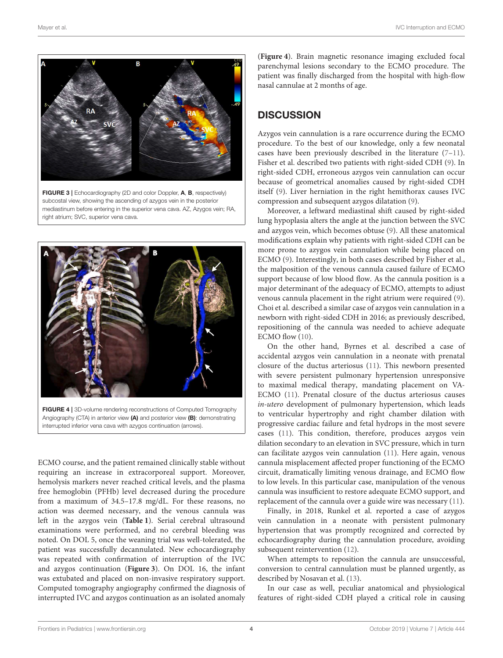

<span id="page-3-0"></span>FIGURE 3 | Echocardiography (2D and color Doppler, A, B, respectively) subcostal view, showing the ascending of azygos vein in the posterior mediastinum before entering in the superior vena cava. AZ, Azygos vein; RA, right atrium; SVC, superior vena cava.



<span id="page-3-1"></span>FIGURE 4 | 3D-volume rendering reconstructions of Computed Tomography Angiography (CTA) in anterior view (A) and posterior view (B): demonstrating interrupted inferior vena cava with azygos continuation (arrows).

ECMO course, and the patient remained clinically stable without requiring an increase in extracorporeal support. Moreover, hemolysis markers never reached critical levels, and the plasma free hemoglobin (PFHb) level decreased during the procedure from a maximum of 34.5–17.8 mg/dL. For these reasons, no action was deemed necessary, and the venous cannula was left in the azygos vein (**[Table 1](#page-2-0)**). Serial cerebral ultrasound examinations were performed, and no cerebral bleeding was noted. On DOL 5, once the weaning trial was well-tolerated, the patient was successfully decannulated. New echocardiography was repeated with confirmation of interruption of the IVC and azygos continuation (**[Figure 3](#page-3-0)**). On DOL 16, the infant was extubated and placed on non-invasive respiratory support. Computed tomography angiography confirmed the diagnosis of interrupted IVC and azygos continuation as an isolated anomaly

(**[Figure 4](#page-3-1)**). Brain magnetic resonance imaging excluded focal parenchymal lesions secondary to the ECMO procedure. The patient was finally discharged from the hospital with high-flow nasal cannulae at 2 months of age.

# **DISCUSSION**

Azygos vein cannulation is a rare occurrence during the ECMO procedure. To the best of our knowledge, only a few neonatal cases have been previously described in the literature [\(7–](#page-5-0)[11\)](#page-5-2). Fisher et al. described two patients with right-sided CDH [\(9\)](#page-5-3). In right-sided CDH, erroneous azygos vein cannulation can occur because of geometrical anomalies caused by right-sided CDH itself [\(9\)](#page-5-3). Liver herniation in the right hemithorax causes IVC compression and subsequent azygos dilatation [\(9\)](#page-5-3).

Moreover, a leftward mediastinal shift caused by right-sided lung hypoplasia alters the angle at the junction between the SVC and azygos vein, which becomes obtuse [\(9\)](#page-5-3). All these anatomical modifications explain why patients with right-sided CDH can be more prone to azygos vein cannulation while being placed on ECMO [\(9\)](#page-5-3). Interestingly, in both cases described by Fisher et al., the malposition of the venous cannula caused failure of ECMO support because of low blood flow. As the cannula position is a major determinant of the adequacy of ECMO, attempts to adjust venous cannula placement in the right atrium were required [\(9\)](#page-5-3). Choi et al. described a similar case of azygos vein cannulation in a newborn with right-sided CDH in 2016; as previously described, repositioning of the cannula was needed to achieve adequate ECMO flow [\(10\)](#page-5-4).

On the other hand, Byrnes et al. described a case of accidental azygos vein cannulation in a neonate with prenatal closure of the ductus arteriosus [\(11\)](#page-5-2). This newborn presented with severe persistent pulmonary hypertension unresponsive to maximal medical therapy, mandating placement on VA-ECMO [\(11\)](#page-5-2). Prenatal closure of the ductus arteriosus causes in-utero development of pulmonary hypertension, which leads to ventricular hypertrophy and right chamber dilation with progressive cardiac failure and fetal hydrops in the most severe cases [\(11\)](#page-5-2). This condition, therefore, produces azygos vein dilation secondary to an elevation in SVC pressure, which in turn can facilitate azygos vein cannulation [\(11\)](#page-5-2). Here again, venous cannula misplacement affected proper functioning of the ECMO circuit, dramatically limiting venous drainage, and ECMO flow to low levels. In this particular case, manipulation of the venous cannula was insufficient to restore adequate ECMO support, and replacement of the cannula over a guide wire was necessary [\(11\)](#page-5-2).

Finally, in 2018, Runkel et al. reported a case of azygos vein cannulation in a neonate with persistent pulmonary hypertension that was promptly recognized and corrected by echocardiography during the cannulation procedure, avoiding subsequent reintervention [\(12\)](#page-5-5).

When attempts to reposition the cannula are unsuccessful, conversion to central cannulation must be planned urgently, as described by Nosavan et al. [\(13\)](#page-5-6).

In our case as well, peculiar anatomical and physiological features of right-sided CDH played a critical role in causing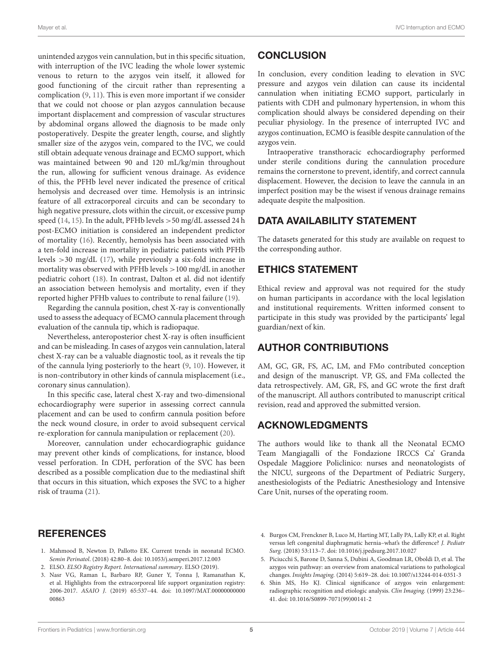unintended azygos vein cannulation, but in this specific situation, with interruption of the IVC leading the whole lower systemic venous to return to the azygos vein itself, it allowed for good functioning of the circuit rather than representing a complication [\(9,](#page-5-3) [11\)](#page-5-2). This is even more important if we consider that we could not choose or plan azygos cannulation because important displacement and compression of vascular structures by abdominal organs allowed the diagnosis to be made only postoperatively. Despite the greater length, course, and slightly smaller size of the azygos vein, compared to the IVC, we could still obtain adequate venous drainage and ECMO support, which was maintained between 90 and 120 mL/kg/min throughout the run, allowing for sufficient venous drainage. As evidence of this, the PFHb level never indicated the presence of critical hemolysis and decreased over time. Hemolysis is an intrinsic feature of all extracorporeal circuits and can be secondary to high negative pressure, clots within the circuit, or excessive pump speed [\(14,](#page-5-7) [15\)](#page-5-8). In the adult, PFHb levels >50 mg/dL assessed 24 h post-ECMO initiation is considered an independent predictor of mortality [\(16\)](#page-5-9). Recently, hemolysis has been associated with a ten-fold increase in mortality in pediatric patients with PFHb levels >30 mg/dL [\(17\)](#page-5-10), while previously a six-fold increase in mortality was observed with PFHb levels >100 mg/dL in another pediatric cohort [\(18\)](#page-5-11). In contrast, Dalton et al. did not identify an association between hemolysis and mortality, even if they reported higher PFHb values to contribute to renal failure [\(19\)](#page-5-12).

Regarding the cannula position, chest X-ray is conventionally used to assess the adequacy of ECMO cannula placement through evaluation of the cannula tip, which is radiopaque.

Nevertheless, anteroposterior chest X-ray is often insufficient and can be misleading. In cases of azygos vein cannulation, lateral chest X-ray can be a valuable diagnostic tool, as it reveals the tip of the cannula lying posteriorly to the heart [\(9,](#page-5-3) [10\)](#page-5-4). However, it is non-contributory in other kinds of cannula misplacement (i.e., coronary sinus cannulation).

In this specific case, lateral chest X-ray and two-dimensional echocardiography were superior in assessing correct cannula placement and can be used to confirm cannula position before the neck wound closure, in order to avoid subsequent cervical re-exploration for cannula manipulation or replacement [\(20\)](#page-5-13).

Moreover, cannulation under echocardiographic guidance may prevent other kinds of complications, for instance, blood vessel perforation. In CDH, perforation of the SVC has been described as a possible complication due to the mediastinal shift that occurs in this situation, which exposes the SVC to a higher risk of trauma [\(21\)](#page-5-14).

## **REFERENCES**

- <span id="page-4-0"></span>1. Mahmood B, Newton D, Pallotto EK. Current trends in neonatal ECMO. Semin Perinatol. (2018) 42:80–8. doi: [10.1053/j.semperi.2017.12.003](https://doi.org/10.1053/j.semperi.2017.12.003)
- <span id="page-4-1"></span>2. ELSO. ELSO Registry Report. International summary. ELSO (2019).
- <span id="page-4-2"></span>3. Nasr VG, Raman L, Barbaro RP, Guner Y, Tonna J, Ramanathan K, et al. Highlights from the extracorporeal life support organization registry: 2006-2017. ASAIO J[. \(2019\) 65:537–44. doi: 10.1097/MAT.00000000000](https://doi.org/10.1097/MAT.0000000000000863) 00863

## **CONCLUSION**

In conclusion, every condition leading to elevation in SVC pressure and azygos vein dilation can cause its incidental cannulation when initiating ECMO support, particularly in patients with CDH and pulmonary hypertension, in whom this complication should always be considered depending on their peculiar physiology. In the presence of interrupted IVC and azygos continuation, ECMO is feasible despite cannulation of the azygos vein.

Intraoperative transthoracic echocardiography performed under sterile conditions during the cannulation procedure remains the cornerstone to prevent, identify, and correct cannula displacement. However, the decision to leave the cannula in an imperfect position may be the wisest if venous drainage remains adequate despite the malposition.

## DATA AVAILABILITY STATEMENT

The datasets generated for this study are available on request to the corresponding author.

# ETHICS STATEMENT

Ethical review and approval was not required for the study on human participants in accordance with the local legislation and institutional requirements. Written informed consent to participate in this study was provided by the participants' legal guardian/next of kin.

# AUTHOR CONTRIBUTIONS

AM, GC, GR, FS, AC, LM, and FMo contributed conception and design of the manuscript. VP, GS, and FMa collected the data retrospectively. AM, GR, FS, and GC wrote the first draft of the manuscript. All authors contributed to manuscript critical revision, read and approved the submitted version.

## ACKNOWLEDGMENTS

The authors would like to thank all the Neonatal ECMO Team Mangiagalli of the Fondazione IRCCS Ca' Granda Ospedale Maggiore Policlinico: nurses and neonatologists of the NICU, surgeons of the Department of Pediatric Surgery, anesthesiologists of the Pediatric Anesthesiology and Intensive Care Unit, nurses of the operating room.

- <span id="page-4-3"></span>4. Burgos CM, Frenckner B, Luco M, Harting MT, Lally PA, Lally KP, et al. Right versus left congenital diaphragmatic hernia–what's the difference? J. Pediatr Surg. (2018) 53:113–7. doi: [10.1016/j.jpedsurg.2017.10.027](https://doi.org/10.1016/j.jpedsurg.2017.10.027)
- <span id="page-4-4"></span>5. Piciucchi S, Barone D, Sanna S, Dubini A, Goodman LR, Oboldi D, et al. The azygos vein pathway: an overview from anatomical variations to pathological changes. Insights Imaging. (2014) 5:619–28. doi: [10.1007/s13244-014-0351-3](https://doi.org/10.1007/s13244-014-0351-3)
- <span id="page-4-5"></span>6. Shin MS, Ho KJ. Clinical significance of azygos vein enlargement: radiographic recognition and etiologic analysis. Clin Imaging. (1999) 23:236– 41. doi: [10.1016/S0899-7071\(99\)00141-2](https://doi.org/10.1016/S0899-7071(99)00141-2)